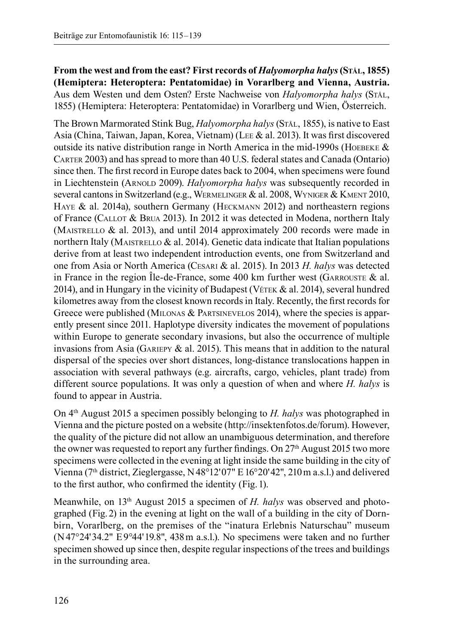**From the west and from the east? First records of** *Halyomorpha halys* **(Stål, 1855) (Hemiptera: Heteroptera: Pentatomidae) in Vorarlberg and Vienna, Austria.** Aus dem Westen und dem Osten? Erste Nachweise von *Halyomorpha halys* (Stål, 1855) (Hemiptera: Heteroptera: Pentatomidae) in Vorarlberg und Wien, Österreich.

The Brown Marmorated Stink Bug, *Halyomorpha halys* (S<sub>TÅL</sub>, 1855), is native to East Asia (China, Taiwan, Japan, Korea, Vietnam) (Lee & al. 2013). It was first discovered outside its native distribution range in North America in the mid-1990s (HOEBEKE  $\&$ Carter 2003) and has spread to more than 40 U.S. federal states and Canada (Ontario) since then. The first record in Europe dates back to 2004, when specimens were found in Liechtenstein (ARNOLD 2009). *Halyomorpha halys* was subsequently recorded in several cantons in Switzerland (e.g., WERMELINGER & al. 2008, WYNIGER & KMENT 2010, HAYE & al. 2014a), southern Germany (HECKMANN 2012) and northeastern regions of France (Callot & Brua 2013). In 2012 it was detected in Modena, northern Italy (MAISTRELLO  $\&$  al. 2013), and until 2014 approximately 200 records were made in northern Italy (MAISTRELLO  $\&$  al. 2014). Genetic data indicate that Italian populations derive from at least two independent introduction events, one from Switzerland and one from Asia or North America (Cesari & al. 2015). In 2013 *H. halys* was detected in France in the region Île-de-France, some 400 km further west (GARROUSTE  $\&$  al. 2014), and in Hungary in the vicinity of Budapest (V $\epsilon$ TEK & al. 2014), several hundred kilometres away from the closest known records in Italy. Recently, the first records for Greece were published (MILONAS & PARTSINEVELOS 2014), where the species is apparently present since 2011. Haplotype diversity indicates the movement of populations within Europe to generate secondary invasions, but also the occurrence of multiple invasions from Asia (GARIEPY  $\&$  al. 2015). This means that in addition to the natural dispersal of the species over short distances, long-distance translocations happen in association with several pathways (e.g. aircrafts, cargo, vehicles, plant trade) from different source populations. It was only a question of when and where *H. halys* is found to appear in Austria.

On 4th August 2015 a specimen possibly belonging to *H. halys* was photographed in Vienna and the picture posted on a website (http://insektenfotos.de/forum). However, the quality of the picture did not allow an unambiguous determination, and therefore the owner was requested to report any further findings. On 27th August 2015 two more specimens were collected in the evening at light inside the same building in the city of Vienna ( $7<sup>th</sup>$  district, Zieglergasse, N48°12'07" E16°20'42", 210 m a.s.l.) and delivered to the first author, who confirmed the identity (Fig.1).

Meanwhile, on 13th August 2015 a specimen of *H. halys* was observed and photographed (Fig.2) in the evening at light on the wall of a building in the city of Dornbirn, Vorarlberg, on the premises of the "inatura Erlebnis Naturschau" museum  $(N47°24'34.2" E9°44'19.8", 438 m a.s.1)$ . No specimens were taken and no further specimen showed up since then, despite regular inspections of the trees and buildings in the surrounding area.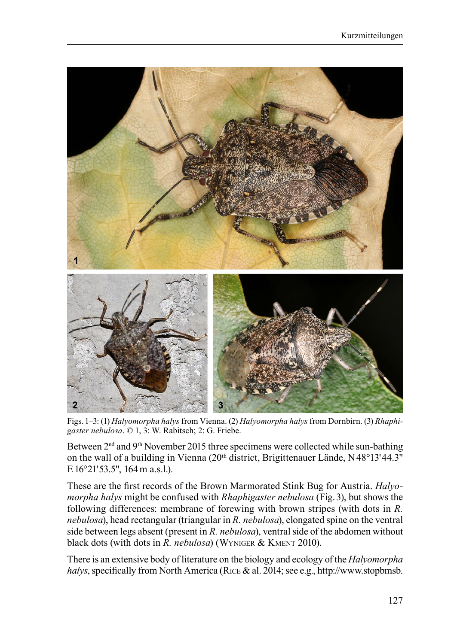

Figs.1–3: (1) *Halyomorpha halys* from Vienna. (2) *Halyomorpha halys* from Dornbirn. (3) *Rhaphigaster nebulosa*. © 1, 3: W. Rabitsch; 2: G. Friebe.

Between  $2<sup>nd</sup>$  and  $9<sup>th</sup>$  November 2015 three specimens were collected while sun-bathing on the wall of a building in Vienna (20th district, Brigittenauer Lände, N48°13' 44.3" E 16°21'53.5", 164 m a.s.l.).

These are the first records of the Brown Marmorated Stink Bug for Austria. *Halyomorpha halys* might be confused with *Rhaphigaster nebulosa* (Fig. 3), but shows the following differences: membrane of forewing with brown stripes (with dots in *R. nebulosa*), head rectangular (triangular in *R. nebulosa*), elongated spine on the ventral side between legs absent (present in *R. nebulosa*), ventral side of the abdomen without black dots (with dots in *R. nebulosa*) (WYNIGER & KMENT 2010).

There is an extensive body of literature on the biology and ecology of the *Halyomorpha halys*, specifically from North America (Rice & al. 2014; see e.g., http://www.stopbmsb.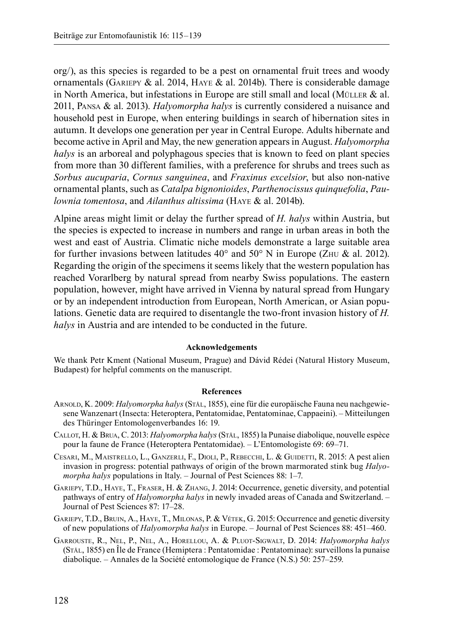org/), as this species is regarded to be a pest on ornamental fruit trees and woody ornamentals (GARIEPY & al. 2014, HAYE & al. 2014b). There is considerable damage in North America, but infestations in Europe are still small and local (MÜLLER  $\&$  al. 2011, Pansa & al. 2013). *Halyomorpha halys* is currently considered a nuisance and household pest in Europe, when entering buildings in search of hibernation sites in autumn. It develops one generation per year in Central Europe. Adults hibernate and become active in April and May, the new generation appears in August. *Halyomorpha halys* is an arboreal and polyphagous species that is known to feed on plant species from more than 30 different families, with a preference for shrubs and trees such as *Sorbus aucuparia*, *Cornus sanguinea*, and *Fraxinus excelsior*, but also non-native ornamental plants, such as *Catalpa bignonioides*, *Parthenocissus quinquefolia*, *Paulownia tomentosa*, and *Ailanthus altissima* (Haye & al. 2014b).

Alpine areas might limit or delay the further spread of *H. halys* within Austria, but the species is expected to increase in numbers and range in urban areas in both the west and east of Austria. Climatic niche models demonstrate a large suitable area for further invasions between latitudes  $40^{\circ}$  and  $50^{\circ}$  N in Europe (ZHU & al. 2012). Regarding the origin of the specimens it seems likely that the western population has reached Vorarlberg by natural spread from nearby Swiss populations. The eastern population, however, might have arrived in Vienna by natural spread from Hungary or by an independent introduction from European, North American, or Asian populations. Genetic data are required to disentangle the two-front invasion history of *H. halys* in Austria and are intended to be conducted in the future.

## **Acknowledgements**

We thank Petr Kment (National Museum, Prague) and Dávid Rédei (Natural History Museum, Budapest) for helpful comments on the manuscript.

## **References**

- Arnold, K. 2009: *Halyomorpha halys* (Stål, 1855), eine für die europäische Fauna neu nachgewiesene Wanzenart (Insecta: Heteroptera, Pentatomidae, Pentatominae, Cappaeini). – Mitteilungen des Thüringer Entomologenverbandes 16: 19.
- Callot, H. & Brua, C. 2013: *Halyomorpha halys* (Stål, 1855) la Punaise diabolique, nouvelle espèce pour la faune de France (Heteroptera Pentatomidae). – L'Entomologiste 69: 69–71.
- Cesari, M., Maistrello, L., Ganzerli, F., Dioli, P., Rebecchi, L. & Guidetti, R. 2015: A pest alien invasion in progress: potential pathways of origin of the brown marmorated stink bug *Halyomorpha halys* populations in Italy. – Journal of Pest Sciences 88: 1–7.
- Gariepy, T.D., Haye, T., Fraser, H. & Zhang, J. 2014: Occurrence, genetic diversity, and potential pathways of entry of *Halyomorpha halys* in newly invaded areas of Canada and Switzerland. – Journal of Pest Sciences 87: 17–28.
- GARIEPY, T.D., BRUIN, A., HAYE, T., MILONAS, P. & VÉTEK, G. 2015: Occurrence and genetic diversity of new populations of *Halyomorpha halys* in Europe. – Journal of Pest Sciences 88: 451–460.
- Garrouste, R., Nel, P., Nel, A., Horellou, A. & Pluot-Sigwalt, D. 2014: *Halyomorpha halys* (Stål, 1855) en Île de France (Hemiptera : Pentatomidae : Pentatominae): surveillons la punaise diabolique. – Annales de la Société entomologique de France (N.S.) 50: 257–259.